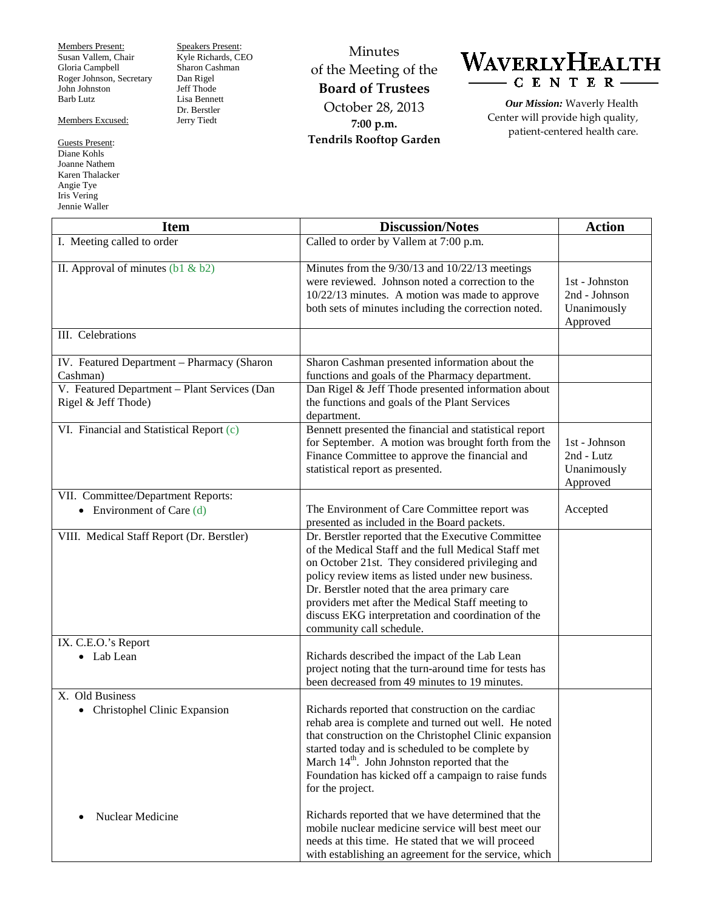Members Present: Susan Vallem, Chair Gloria Campbell Roger Johnson, Secretary John Johnston Barb Lutz

Members Excused:

Guests Present: Diane Kohls Joanne Nathem Karen Thalacker Angie Tye Iris Vering Jennie Waller

Speakers Present: Kyle Richards, CEO Sharon Cashman Dan Rigel Jeff Thode Lisa Bennett Dr. Berstler Jerry Tiedt

Minutes of the Meeting of the **Board of Trustees** October 28, 2013 **7:00 p.m. Tendrils Rooftop Garden**



*Our Mission:* Waverly Health Center will provide high quality, patient-centered health care.

| <b>Item</b>                                                                                                                   | <b>Discussion/Notes</b>                                                                                                                                                                                                                                                                                                                                                                                    | <b>Action</b>                                              |
|-------------------------------------------------------------------------------------------------------------------------------|------------------------------------------------------------------------------------------------------------------------------------------------------------------------------------------------------------------------------------------------------------------------------------------------------------------------------------------------------------------------------------------------------------|------------------------------------------------------------|
| I. Meeting called to order                                                                                                    | Called to order by Vallem at 7:00 p.m.                                                                                                                                                                                                                                                                                                                                                                     |                                                            |
| II. Approval of minutes $(b1 & b2)$                                                                                           | Minutes from the 9/30/13 and 10/22/13 meetings<br>were reviewed. Johnson noted a correction to the<br>10/22/13 minutes. A motion was made to approve<br>both sets of minutes including the correction noted.                                                                                                                                                                                               | 1st - Johnston<br>2nd - Johnson<br>Unanimously<br>Approved |
| III. Celebrations                                                                                                             |                                                                                                                                                                                                                                                                                                                                                                                                            |                                                            |
| IV. Featured Department - Pharmacy (Sharon<br>Cashman)<br>V. Featured Department - Plant Services (Dan<br>Rigel & Jeff Thode) | Sharon Cashman presented information about the<br>functions and goals of the Pharmacy department.<br>Dan Rigel & Jeff Thode presented information about<br>the functions and goals of the Plant Services<br>department.                                                                                                                                                                                    |                                                            |
| VI. Financial and Statistical Report (c)                                                                                      | Bennett presented the financial and statistical report<br>for September. A motion was brought forth from the<br>Finance Committee to approve the financial and<br>statistical report as presented.                                                                                                                                                                                                         | 1st - Johnson<br>2nd - Lutz<br>Unanimously<br>Approved     |
| VII. Committee/Department Reports:<br>• Environment of Care $(d)$                                                             | The Environment of Care Committee report was<br>presented as included in the Board packets.                                                                                                                                                                                                                                                                                                                | Accepted                                                   |
| VIII. Medical Staff Report (Dr. Berstler)                                                                                     | Dr. Berstler reported that the Executive Committee<br>of the Medical Staff and the full Medical Staff met<br>on October 21st. They considered privileging and<br>policy review items as listed under new business.<br>Dr. Berstler noted that the area primary care<br>providers met after the Medical Staff meeting to<br>discuss EKG interpretation and coordination of the<br>community call schedule.  |                                                            |
| IX. C.E.O.'s Report<br>• Lab Lean                                                                                             | Richards described the impact of the Lab Lean<br>project noting that the turn-around time for tests has<br>been decreased from 49 minutes to 19 minutes.                                                                                                                                                                                                                                                   |                                                            |
| X. Old Business<br>Christophel Clinic Expansion<br>٠<br>Nuclear Medicine<br>$\bullet$                                         | Richards reported that construction on the cardiac<br>rehab area is complete and turned out well. He noted<br>that construction on the Christophel Clinic expansion<br>started today and is scheduled to be complete by<br>March $14th$ . John Johnston reported that the<br>Foundation has kicked off a campaign to raise funds<br>for the project.<br>Richards reported that we have determined that the |                                                            |
|                                                                                                                               | mobile nuclear medicine service will best meet our<br>needs at this time. He stated that we will proceed<br>with establishing an agreement for the service, which                                                                                                                                                                                                                                          |                                                            |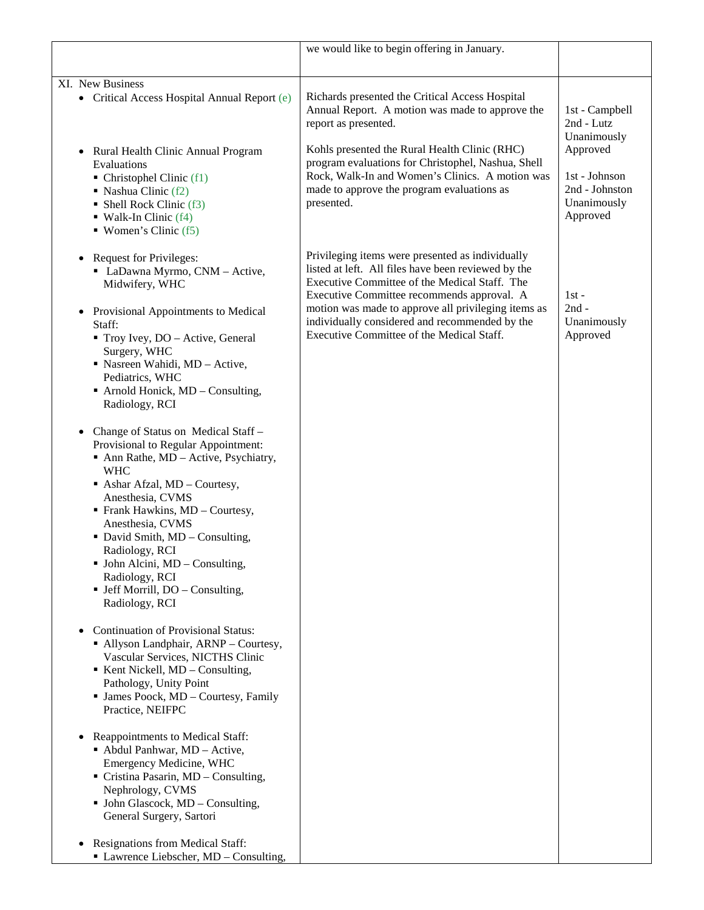|                                                                                                                                                                                                                                                                                                                                                                                                                                                                                                                                                                                                                                                                                                                                                                                                                                                                                                                                                                                                                                                                                                                                                                                                                                                                                                               | we would like to begin offering in January.                                                                                                                                                                                                                                                                                                                  |                                                                                                                       |
|---------------------------------------------------------------------------------------------------------------------------------------------------------------------------------------------------------------------------------------------------------------------------------------------------------------------------------------------------------------------------------------------------------------------------------------------------------------------------------------------------------------------------------------------------------------------------------------------------------------------------------------------------------------------------------------------------------------------------------------------------------------------------------------------------------------------------------------------------------------------------------------------------------------------------------------------------------------------------------------------------------------------------------------------------------------------------------------------------------------------------------------------------------------------------------------------------------------------------------------------------------------------------------------------------------------|--------------------------------------------------------------------------------------------------------------------------------------------------------------------------------------------------------------------------------------------------------------------------------------------------------------------------------------------------------------|-----------------------------------------------------------------------------------------------------------------------|
|                                                                                                                                                                                                                                                                                                                                                                                                                                                                                                                                                                                                                                                                                                                                                                                                                                                                                                                                                                                                                                                                                                                                                                                                                                                                                                               |                                                                                                                                                                                                                                                                                                                                                              |                                                                                                                       |
| XI. New Business<br>• Critical Access Hospital Annual Report (e)<br>Rural Health Clinic Annual Program<br>$\bullet$<br>Evaluations<br>$\blacksquare$ Christophel Clinic (f1)<br>$\blacksquare$ Nashua Clinic (f2)<br>• Shell Rock Clinic (f3)<br>$\blacksquare$ Walk-In Clinic (f4)<br>$\blacksquare$ Women's Clinic (f5)                                                                                                                                                                                                                                                                                                                                                                                                                                                                                                                                                                                                                                                                                                                                                                                                                                                                                                                                                                                     | Richards presented the Critical Access Hospital<br>Annual Report. A motion was made to approve the<br>report as presented.<br>Kohls presented the Rural Health Clinic (RHC)<br>program evaluations for Christophel, Nashua, Shell<br>Rock, Walk-In and Women's Clinics. A motion was<br>made to approve the program evaluations as<br>presented.             | 1st - Campbell<br>2nd - Lutz<br>Unanimously<br>Approved<br>1st - Johnson<br>2nd - Johnston<br>Unanimously<br>Approved |
| <b>Request for Privileges:</b><br>$\bullet$<br>• LaDawna Myrmo, CNM - Active,<br>Midwifery, WHC<br>• Provisional Appointments to Medical<br>Staff:<br>• Troy Ivey, DO - Active, General<br>Surgery, WHC<br>• Nasreen Wahidi, MD - Active,<br>Pediatrics, WHC<br>$\blacksquare$ Arnold Honick, MD – Consulting,<br>Radiology, RCI<br>Change of Status on Medical Staff -<br>$\bullet$<br>Provisional to Regular Appointment:<br>• Ann Rathe, MD - Active, Psychiatry,<br><b>WHC</b><br>Ashar Afzal, MD - Courtesy,<br>Anesthesia, CVMS<br>• Frank Hawkins, MD - Courtesy,<br>Anesthesia, CVMS<br>• David Smith, MD - Consulting,<br>Radiology, RCI<br>$\blacksquare$ John Alcini, MD – Consulting,<br>Radiology, RCI<br>• Jeff Morrill, DO – Consulting,<br>Radiology, RCI<br><b>Continuation of Provisional Status:</b><br>$\bullet$<br>• Allyson Landphair, ARNP - Courtesy,<br>Vascular Services, NICTHS Clinic<br>$\blacksquare$ Kent Nickell, MD – Consulting,<br>Pathology, Unity Point<br>• James Poock, MD - Courtesy, Family<br>Practice, NEIFPC<br>Reappointments to Medical Staff:<br>$\bullet$<br>• Abdul Panhwar, MD - Active,<br>Emergency Medicine, WHC<br>Cristina Pasarin, MD - Consulting,<br>Nephrology, CVMS<br>$\blacksquare$ John Glascock, MD – Consulting,<br>General Surgery, Sartori | Privileging items were presented as individually<br>listed at left. All files have been reviewed by the<br>Executive Committee of the Medical Staff. The<br>Executive Committee recommends approval. A<br>motion was made to approve all privileging items as<br>individually considered and recommended by the<br>Executive Committee of the Medical Staff. | $1st -$<br>$2nd -$<br>Unanimously<br>Approved                                                                         |
| Resignations from Medical Staff:<br>• Lawrence Liebscher, MD - Consulting,                                                                                                                                                                                                                                                                                                                                                                                                                                                                                                                                                                                                                                                                                                                                                                                                                                                                                                                                                                                                                                                                                                                                                                                                                                    |                                                                                                                                                                                                                                                                                                                                                              |                                                                                                                       |